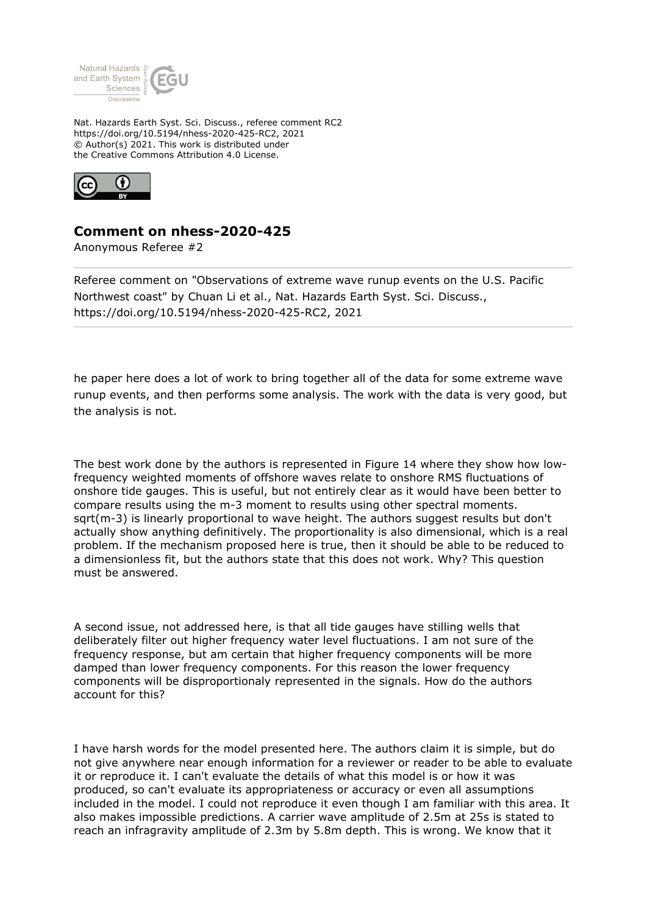

Nat. Hazards Earth Syst. Sci. Discuss., referee comment RC2 https://doi.org/10.5194/nhess-2020-425-RC2, 2021 © Author(s) 2021. This work is distributed under the Creative Commons Attribution 4.0 License.



## **Comment on nhess-2020-425**

Anonymous Referee #2

Referee comment on "Observations of extreme wave runup events on the U.S. Pacific Northwest coast" by Chuan Li et al., Nat. Hazards Earth Syst. Sci. Discuss., https://doi.org/10.5194/nhess-2020-425-RC2, 2021

he paper here does a lot of work to bring together all of the data for some extreme wave runup events, and then performs some analysis. The work with the data is very good, but the analysis is not.

The best work done by the authors is represented in Figure 14 where they show how lowfrequency weighted moments of offshore waves relate to onshore RMS fluctuations of onshore tide gauges. This is useful, but not entirely clear as it would have been better to compare results using the m-3 moment to results using other spectral moments. sqrt(m-3) is linearly proportional to wave height. The authors suggest results but don't actually show anything definitively. The proportionality is also dimensional, which is a real problem. If the mechanism proposed here is true, then it should be able to be reduced to a dimensionless fit, but the authors state that this does not work. Why? This question must be answered.

A second issue, not addressed here, is that all tide gauges have stilling wells that deliberately filter out higher frequency water level fluctuations. I am not sure of the frequency response, but am certain that higher frequency components will be more damped than lower frequency components. For this reason the lower frequency components will be disproportionaly represented in the signals. How do the authors account for this?

I have harsh words for the model presented here. The authors claim it is simple, but do not give anywhere near enough information for a reviewer or reader to be able to evaluate it or reproduce it. I can't evaluate the details of what this model is or how it was produced, so can't evaluate its appropriateness or accuracy or even all assumptions included in the model. I could not reproduce it even though I am familiar with this area. It also makes impossible predictions. A carrier wave amplitude of 2.5m at 25s is stated to reach an infragravity amplitude of 2.3m by 5.8m depth. This is wrong. We know that it